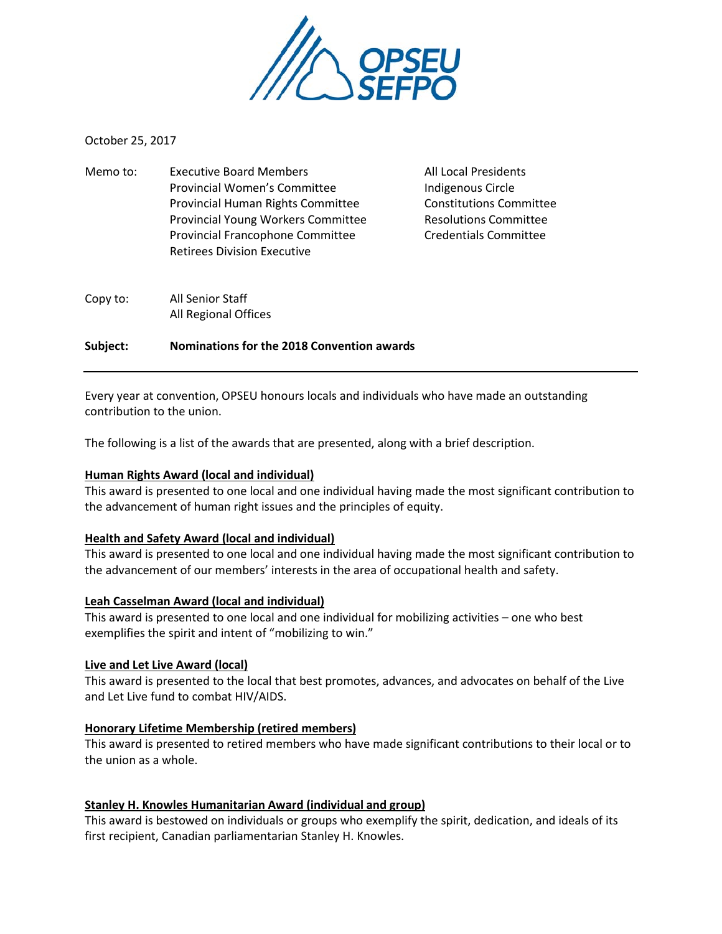

October 25, 2017

| Memo to: | <b>Executive Board Members</b>            | <b>All Local Presidents</b>    |
|----------|-------------------------------------------|--------------------------------|
|          | Provincial Women's Committee              | Indigenous Circle              |
|          | Provincial Human Rights Committee         | <b>Constitutions Committee</b> |
|          | <b>Provincial Young Workers Committee</b> | <b>Resolutions Committee</b>   |
|          | Provincial Francophone Committee          | <b>Credentials Committee</b>   |
|          | <b>Retirees Division Executive</b>        |                                |
| Copy to: | All Senior Staff                          |                                |
|          | All Regional Offices                      |                                |

**Subject: Nominations for the 2018 Convention awards**

Every year at convention, OPSEU honours locals and individuals who have made an outstanding contribution to the union.

The following is a list of the awards that are presented, along with a brief description.

# **Human Rights Award (local and individual)**

This award is presented to one local and one individual having made the most significant contribution to the advancement of human right issues and the principles of equity.

# **Health and Safety Award (local and individual)**

This award is presented to one local and one individual having made the most significant contribution to the advancement of our members' interests in the area of occupational health and safety.

### **Leah Casselman Award (local and individual)**

This award is presented to one local and one individual for mobilizing activities – one who best exemplifies the spirit and intent of "mobilizing to win."

### **Live and Let Live Award (local)**

This award is presented to the local that best promotes, advances, and advocates on behalf of the Live and Let Live fund to combat HIV/AIDS.

# **Honorary Lifetime Membership (retired members)**

This award is presented to retired members who have made significant contributions to their local or to the union as a whole.

# **Stanley H. Knowles Humanitarian Award (individual and group)**

This award is bestowed on individuals or groups who exemplify the spirit, dedication, and ideals of its first recipient, Canadian parliamentarian Stanley H. Knowles.